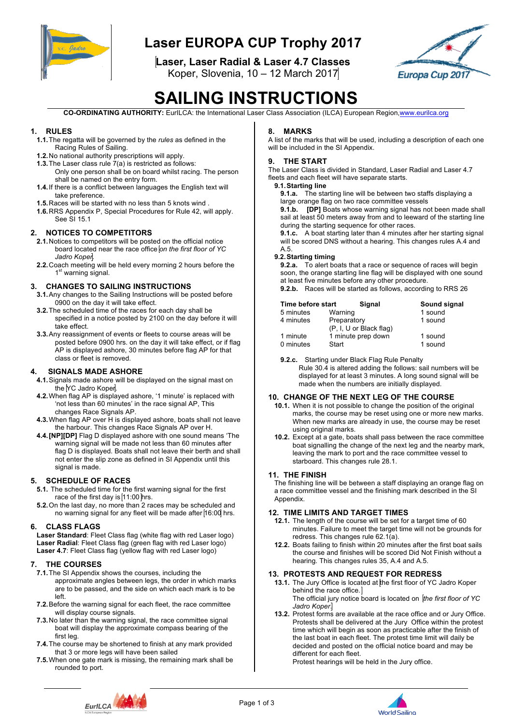

## **Laser EUROPA CUP Trophy 2017**

**Laser, Laser Radial & Laser 4.7 Classes**

Koper, Slovenia, 10 – 12 March 2017



# **SAILING INSTRUCTIONS**

**CO-ORDINATING AUTHORITY:** EurILCA: the International Laser Class Association (ILCA) European Region,www.eurilca.org

#### **1. RULES**

- **1.1.**The regatta will be governed by the *rules* as defined in the Racing Rules of Sailing.
- **1.2.**No national authority prescriptions will apply.
- **1.3.**The Laser class rule 7(a) is restricted as follows: Only one person shall be on board whilst racing. The person shall be named on the entry form.
- **1.4.**If there is a conflict between languages the English text will take preference.
- **1.5.**Races will be started with no less than 5 knots wind .
- **1.6.**RRS Appendix P, Special Procedures for Rule 42, will apply. See SI 15.1

#### **2. NOTICES TO COMPETITORS**

- **2.1.**Notices to competitors will be posted on the official notice board located near the race office *on the first floor of YC Jadro Koper*.
- **2.2.**Coach meeting will be held every morning 2 hours before the 1<sup>st</sup> warning signal.

#### **3. CHANGES TO SAILING INSTRUCTIONS**

- **3.1.**Any changes to the Sailing Instructions will be posted before 0900 on the day it will take effect.
- **3.2.**The scheduled time of the races for each day shall be specified in a notice posted by 2100 on the day before it will take effect.
- **3.3.**Any reassignment of events or fleets to course areas will be posted before 0900 hrs. on the day it will take effect, or if flag AP is displayed ashore, 30 minutes before flag AP for that class or fleet is removed.

#### **4. SIGNALS MADE ASHORE**

- **4.1.**Signals made ashore will be displayed on the signal mast on the YC Jadro Koper.
- **4.2.**When flag AP is displayed ashore, '1 minute' is replaced with 'not less than 60 minutes' in the race signal AP, This changes Race Signals AP.
- **4.3.**When flag AP over H is displayed ashore, boats shall not leave the harbour. This changes Race Signals AP over H.
- **4.4.[NP][DP]** Flag D displayed ashore with one sound means 'The warning signal will be made not less than 60 minutes after flag D is displayed. Boats shall not leave their berth and shall not enter the slip zone as defined in SI Appendix until this signal is made.

#### **5. SCHEDULE OF RACES**

- **5.1.** The scheduled time for the first warning signal for the first race of the first day is 11:00 hrs.
- **5.2.**On the last day, no more than 2 races may be scheduled and no warning signal for any fleet will be made after 16:00 hrs.

#### **6. CLASS FLAGS**

**Laser Standard**: Fleet Class flag (white flag with red Laser logo) **Laser Radial**: Fleet Class flag (green flag with red Laser logo) Laser 4.7: Fleet Class flag (yellow flag with red Laser logo)

#### **7. THE COURSES**

- **7.1.**The SI Appendix shows the courses, including the approximate angles between legs, the order in which marks are to be passed, and the side on which each mark is to be left.
- **7.2.**Before the warning signal for each fleet, the race committee will display course signals.
- **7.3.**No later than the warning signal, the race committee signal boat will display the approximate compass bearing of the first leg.
- **7.4.**The course may be shortened to finish at any mark provided that 3 or more legs will have been sailed
- **7.5.**When one gate mark is missing, the remaining mark shall be rounded to port.

#### **8. MARKS**

A list of the marks that will be used, including a description of each one will be included in the SI Appendix.

#### **9. THE START**

The Laser Class is divided in Standard, Laser Radial and Laser 4.7 fleets and each fleet will have separate starts.

#### **9.1.Starting line**

**9.1.a.** The starting line will be between two staffs displaying a large orange flag on two race committee vessels

**9.1.b. [DP]** Boats whose warning signal has not been made shall sail at least 50 meters away from and to leeward of the starting line during the starting sequence for other races.

**9.1.c.** A boat starting later than 4 minutes after her starting signal will be scored DNS without a hearing. This changes rules A.4 and A.5.

#### **9.2.Starting timing**

**9.2.a.** To alert boats that a race or sequence of races will begin soon, the orange starting line flag will be displayed with one sound at least five minutes before any other procedure.

**9.2.b.** Races will be started as follows, according to RRS 26

| Time before start | Signal                  | Sound signal |
|-------------------|-------------------------|--------------|
| 5 minutes         | Warning                 | 1 sound      |
| 4 minutes         | Preparatory             | 1 sound      |
|                   | (P, I, U or Black flag) |              |
| 1 minute          | 1 minute prep down      | 1 sound      |
| 0 minutes         | Start                   | 1 sound      |

#### **9.2.c.** Starting under Black Flag Rule Penalty

Rule 30.4 is altered adding the follows: sail numbers will be displayed for at least 3 minutes. A long sound signal will be made when the numbers are initially displayed.

#### **10. CHANGE OF THE NEXT LEG OF THE COURSE**

- **10.1.** When it is not possible to change the position of the original marks, the course may be reset using one or more new marks. When new marks are already in use, the course may be reset using original marks.
- **10.2.** Except at a gate, boats shall pass between the race committee boat signalling the change of the next leg and the nearby mark, leaving the mark to port and the race committee vessel to starboard. This changes rule 28.1.

#### **11. THE FINISH**

The finishing line will be between a staff displaying an orange flag on a race committee vessel and the finishing mark described in the SI Appendix.

#### **12. TIME LIMITS AND TARGET TIMES**

- **12.1.** The length of the course will be set for a target time of 60 minutes. Failure to meet the target time will not be grounds for redress. This changes rule 62.1(a).
- **12.2.** Boats failing to finish within 20 minutes after the first boat sails the course and finishes will be scored Did Not Finish without a hearing. This changes rules 35, A.4 and A.5.

#### **13. PROTESTS AND REQUEST FOR REDRESS**

**13.1.** The Jury Office is located at the first floor of YC Jadro Koper behind the race office. The official jury notice board is located on *the first floor of YC Jadro Koper*.

**13.2.** Protest forms are available at the race office and or Jury Office. Protests shall be delivered at the Jury Office within the protest time which will begin as soon as practicable after the finish of the last boat in each fleet. The protest time limit will daily be decided and posted on the official notice board and may be different for each fleet.

Protest hearings will be held in the Jury office.



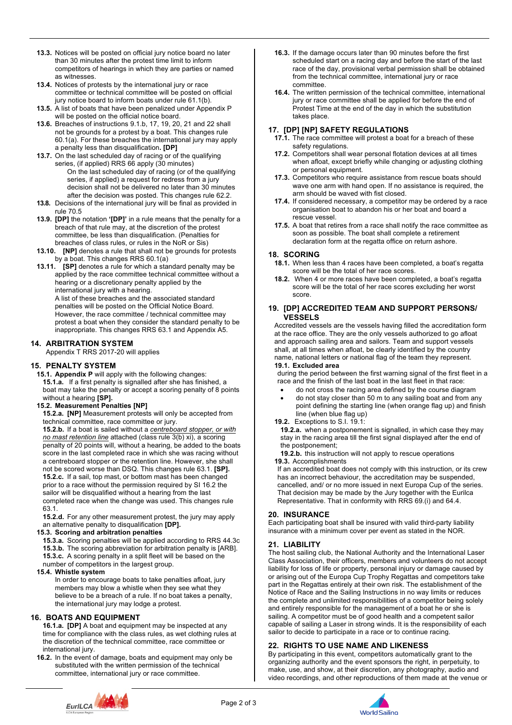- **13.3.** Notices will be posted on official jury notice board no later than 30 minutes after the protest time limit to inform competitors of hearings in which they are parties or named as witnesses.
- **13.4.** Notices of protests by the international jury or race committee or technical committee will be posted on official jury notice board to inform boats under rule 61.1(b).
- **13.5.** A list of boats that have been penalized under Appendix P will be posted on the official notice board.
- **13.6.** Breaches of instructions 9.1.b, 17, 19, 20, 21 and 22 shall not be grounds for a protest by a boat. This changes rule 60.1(a). For these breaches the international jury may apply a penalty less than disqualification**. [DP]**
- **13.7.** On the last scheduled day of racing or of the qualifying series, (if applied) RRS 66 apply (30 minutes) On the last scheduled day of racing (or of the qualifying series, if applied) a request for redress from a jury decision shall not be delivered no later than 30 minutes after the decision was posted. This changes rule 62.2.
- **13.8.** Decisions of the international jury will be final as provided in rule 70.5
- **13.9. [DP]** the notation **'[DP]'** in a rule means that the penalty for a breach of that rule may, at the discretion of the protest committee, be less than disqualification. (Penalties for breaches of class rules, or rules in the NoR or Sis)
- **13.10. [NP]** denotes a rule that shall not be grounds for protests by a boat. This changes RRS 60.1(a)
- **13.11. [SP]** denotes a rule for which a standard penalty may be applied by the race committee technical committee without a hearing or a discretionary penalty applied by the international jury with a hearing.

A list of these breaches and the associated standard penalties will be posted on the Official Notice Board. However, the race committee / technical committee may protest a boat when they consider the standard penalty to be inappropriate. This changes RRS 63.1 and Appendix A5.

#### **14. ARBITRATION SYSTEM**

Appendix T RRS 2017-20 will applies

#### **15. PENALTY SYSTEM**

**15.1. Appendix P** will apply with the following changes: **15.1.a.** If a first penalty is signalled after she has finished, a boat may take the penalty or accept a scoring penalty of 8 points without a hearing **[SP].**

#### **15.2. Measurement Penalties [NP]**

**15.2.a. [NP]** Measurement protests will only be accepted from technical committee, race committee or jury.

**15.2.b.** If a boat is sailed without a *centreboard stopper, or with no mast retention line* attached (class rule 3(b) xi), a scoring penalty of 20 points will, without a hearing, be added to the boats score in the last completed race in which she was racing without a centreboard stopper or the retention line. However, she shall not be scored worse than DSQ. This changes rule 63.1. **[SP]. 15.2.c.** If a sail, top mast, or bottom mast has been changed prior to a race without the permission required by SI 16.2 the sailor will be disqualified without a hearing from the last completed race when the change was used. This changes rule 63.1.

**15.2.d.** For any other measurement protest, the jury may apply an alternative penalty to disqualification **[DP].**

#### **15.3. Scoring and arbitration penalties**

**15.3.a.** Scoring penalties will be applied according to RRS 44.3c **15.3.b.** The scoring abbreviation for arbitration penalty is [ARB]. **15.3.c.** A scoring penalty in a split fleet will be based on the number of competitors in the largest group.

#### **15.4. Whistle system**

In order to encourage boats to take penalties afloat, jury members may blow a whistle when they see what they believe to be a breach of a rule. If no boat takes a penalty, the international jury may lodge a protest.

#### **16. BOATS AND EQUIPMENT**

**16.1.a. [DP]** A boat and equipment may be inspected at any time for compliance with the class rules, as wet clothing rules at the discretion of the technical committee, race committee or international jury.

**16.2.** In the event of damage, boats and equipment may only be substituted with the written permission of the technical committee, international jury or race committee.

- **16.3.** If the damage occurs later than 90 minutes before the first scheduled start on a racing day and before the start of the last race of the day, provisional verbal permission shall be obtained from the technical committee, international jury or race committee.
- **16.4.** The written permission of the technical committee, international jury or race committee shall be applied for before the end of Protest Time at the end of the day in which the substitution takes place.

#### **17. [DP] [NP] SAFETY REGULATIONS**

- **17.1.** The race committee will protest a boat for a breach of these safety regulations.
- **17.2.** Competitors shall wear personal flotation devices at all times when afloat, except briefly while changing or adjusting clothing or personal equipment.
- **17.3.** Competitors who require assistance from rescue boats should wave one arm with hand open. If no assistance is required, the arm should be waved with fist closed.
- **17.4.** If considered necessary, a competitor may be ordered by a race organisation boat to abandon his or her boat and board a rescue vessel.
- **17.5.** A boat that retires from a race shall notify the race committee as soon as possible. The boat shall complete a retirement declaration form at the regatta office on return ashore.

#### **18. SCORING**

- **18.1.** When less than 4 races have been completed, a boat's regatta score will be the total of her race scores.
- **18.2.** When 4 or more races have been completed, a boat's regatta score will be the total of her race scores excluding her worst score.

#### **19. [DP] ACCREDITED TEAM AND SUPPORT PERSONS/ VESSELS**

Accredited vessels are the vessels having filled the accreditation form at the race office. They are the only vessels authorized to go afloat and approach sailing area and sailors. Team and support vessels shall, at all times when afloat, be clearly identified by the country name, national letters or national flag of the team they represent. **19.1. Excluded area**

during the period between the first warning signal of the first fleet in a race and the finish of the last boat in the last fleet in that race:

- do not cross the racing area defined by the course diagram
- do not stay closer than 50 m to any sailing boat and from any point defining the starting line (when orange flag up) and finish line (when blue flag up)

#### **19.2.** Exceptions to S.I. 19.1:

**19.2.a.** when a postponement is signalled, in which case they may stay in the racing area till the first signal displayed after the end of the postponement;

**19.2.b.** this instruction will not apply to rescue operations **19.3.** Accomplishments

If an accredited boat does not comply with this instruction, or its crew has an incorrect behaviour, the accreditation may be suspended, cancelled, and/ or no more issued in next Europa Cup of the series. That decision may be made by the Jury together with the Eurilca Representative. That in conformity with RRS 69.(i) and 64.4.

#### **20. INSURANCE**

Each participating boat shall be insured with valid third-party liability insurance with a minimum cover per event as stated in the NOR.

#### **21. LIABILITY**

The host sailing club, the National Authority and the International Laser Class Association, their officers, members and volunteers do not accept liability for loss of life or property, personal injury or damage caused by or arising out of the Europa Cup Trophy Regattas and competitors take part in the Regattas entirely at their own risk. The establishment of the Notice of Race and the Sailing Instructions in no way limits or reduces the complete and unlimited responsibilities of a competitor being solely and entirely responsible for the management of a boat he or she is sailing. A competitor must be of good health and a competent sailor capable of sailing a Laser in strong winds. It is the responsibility of each sailor to decide to participate in a race or to continue racing.

#### **22. RIGHTS TO USE NAME AND LIKENESS**

By participating in this event, competitors automatically grant to the organizing authority and the event sponsors the right, in perpetuity, to make, use, and show, at their discretion, any photography, audio and video recordings, and other reproductions of them made at the venue or